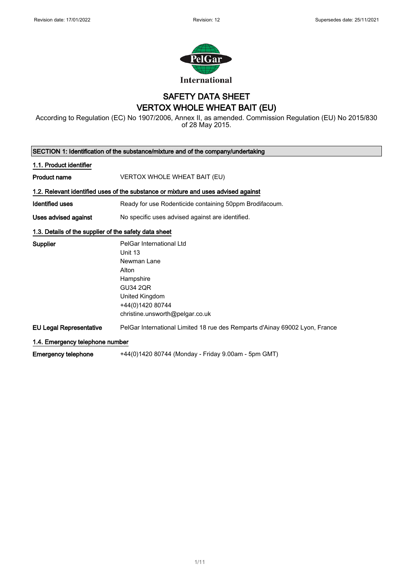

## SAFETY DATA SHEET VERTOX WHOLE WHEAT BAIT (EU)

According to Regulation (EC) No 1907/2006, Annex II, as amended. Commission Regulation (EU) No 2015/830 of 28 May 2015.

| SECTION 1: Identification of the substance/mixture and of the company/undertaking |                                                                                                                                                                      |  |
|-----------------------------------------------------------------------------------|----------------------------------------------------------------------------------------------------------------------------------------------------------------------|--|
| 1.1. Product identifier                                                           |                                                                                                                                                                      |  |
| <b>Product name</b>                                                               | VERTOX WHOLE WHEAT BAIT (EU)                                                                                                                                         |  |
|                                                                                   | 1.2. Relevant identified uses of the substance or mixture and uses advised against                                                                                   |  |
| <b>Identified uses</b>                                                            | Ready for use Rodenticide containing 50ppm Brodifacoum.                                                                                                              |  |
| Uses advised against                                                              | No specific uses advised against are identified.                                                                                                                     |  |
| 1.3. Details of the supplier of the safety data sheet                             |                                                                                                                                                                      |  |
| <b>Supplier</b>                                                                   | PelGar International Ltd<br>Unit 13<br>Newman Lane<br>Alton<br>Hampshire<br><b>GU34 2QR</b><br>United Kingdom<br>+44(0)1420 80744<br>christine.unsworth@pelgar.co.uk |  |
| <b>EU Legal Representative</b>                                                    | PelGar International Limited 18 rue des Remparts d'Ainay 69002 Lyon, France                                                                                          |  |
| 1.4. Emergency telephone number                                                   |                                                                                                                                                                      |  |
| <b>Emergency telephone</b>                                                        | +44(0)1420 80744 (Monday - Friday 9.00am - 5pm GMT)                                                                                                                  |  |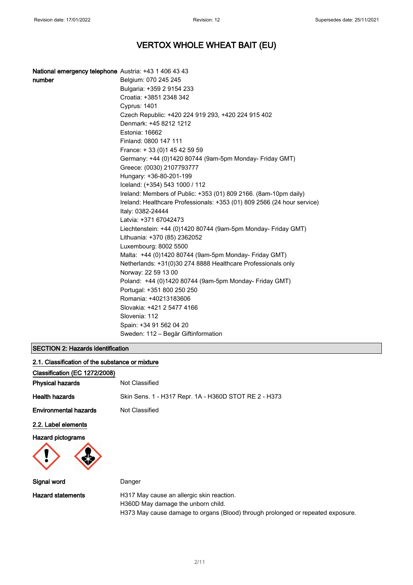| National emergency telephone Austria: +43 1 406 43 43 |                                                                                              |
|-------------------------------------------------------|----------------------------------------------------------------------------------------------|
| number                                                | Belgium: 070 245 245                                                                         |
|                                                       | Bulgaria: +359 2 9154 233                                                                    |
|                                                       | Croatia: +3851 2348 342                                                                      |
|                                                       | Cyprus: 1401                                                                                 |
|                                                       | Czech Republic: +420 224 919 293, +420 224 915 402                                           |
|                                                       | Denmark: +45 8212 1212                                                                       |
|                                                       | Estonia: 16662                                                                               |
|                                                       | Finland: 0800 147 111                                                                        |
|                                                       | France: +33 (0) 145 42 59 59                                                                 |
|                                                       | Germany: +44 (0)1420 80744 (9am-5pm Monday- Friday GMT)                                      |
|                                                       | Greece: (0030) 2107793777                                                                    |
|                                                       | Hungary: +36-80-201-199                                                                      |
|                                                       | Iceland: (+354) 543 1000 / 112                                                               |
|                                                       | Ireland: Members of Public: +353 (01) 809 2166. (8am-10pm daily)                             |
|                                                       | Ireland: Healthcare Professionals: +353 (01) 809 2566 (24 hour service)<br>Italy: 0382-24444 |
|                                                       | Latvia: +371 67042473                                                                        |
|                                                       | Liechtenstein: +44 (0)1420 80744 (9am-5pm Monday- Friday GMT)                                |
|                                                       | Lithuania: +370 (85) 2362052                                                                 |
|                                                       | Luxembourg: 8002 5500                                                                        |
|                                                       | Malta: +44 (0)1420 80744 (9am-5pm Monday- Friday GMT)                                        |
|                                                       | Netherlands: +31(0)30 274 8888 Healthcare Professionals only                                 |
|                                                       | Norway: 22 59 13 00                                                                          |
|                                                       | Poland: +44 (0)1420 80744 (9am-5pm Monday- Friday GMT)                                       |
|                                                       | Portugal: +351 800 250 250                                                                   |
|                                                       | Romania: +40213183606                                                                        |
|                                                       | Slovakia: +421 2 5477 4166                                                                   |
|                                                       | Slovenia: 112                                                                                |
|                                                       | Spain: +34 91 562 04 20                                                                      |
|                                                       | Sweden: 112 - Begär Giftinformation                                                          |

## SECTION 2: Hazards identification

| 2.1. Classification of the substance or mixture |                                                                                 |
|-------------------------------------------------|---------------------------------------------------------------------------------|
| Classification (EC 1272/2008)                   |                                                                                 |
| <b>Physical hazards</b>                         | Not Classified                                                                  |
| <b>Health hazards</b>                           | Skin Sens. 1 - H317 Repr. 1A - H360D STOT RE 2 - H373                           |
| <b>Environmental hazards</b>                    | Not Classified                                                                  |
| 2.2. Label elements                             |                                                                                 |
| <b>Hazard pictograms</b>                        |                                                                                 |
| Signal word                                     | Danger                                                                          |
| <b>Hazard statements</b>                        | H317 May cause an allergic skin reaction.<br>H360D May damage the unborn child. |

H373 May cause damage to organs (Blood) through prolonged or repeated exposure.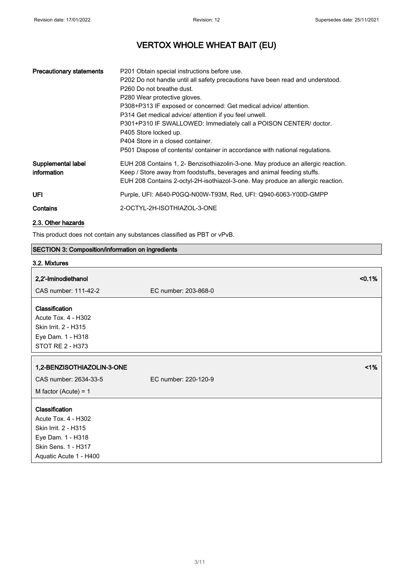| <b>Precautionary statements</b>   | P201 Obtain special instructions before use.<br>P202 Do not handle until all safety precautions have been read and understood.<br>P <sub>260</sub> Do not breathe dust.<br>P280 Wear protective gloves.<br>P308+P313 IF exposed or concerned: Get medical advice/ attention.<br>P314 Get medical advice/ attention if you feel unwell.<br>P301+P310 IF SWALLOWED: Immediately call a POISON CENTER/ doctor.<br>P405 Store locked up.<br>P404 Store in a closed container.<br>P501 Dispose of contents/ container in accordance with national regulations. |
|-----------------------------------|-----------------------------------------------------------------------------------------------------------------------------------------------------------------------------------------------------------------------------------------------------------------------------------------------------------------------------------------------------------------------------------------------------------------------------------------------------------------------------------------------------------------------------------------------------------|
| Supplemental label<br>information | EUH 208 Contains 1, 2- Benzisothiazolin-3-one. May produce an allergic reaction.<br>Keep / Store away from foodstuffs, beverages and animal feeding stuffs.<br>EUH 208 Contains 2-octyl-2H-isothiazol-3-one. May produce an allergic reaction.                                                                                                                                                                                                                                                                                                            |
| UFI                               | Purple, UFI: A640-P0GQ-N00W-T93M, Red, UFI: Q940-6063-Y00D-GMPP                                                                                                                                                                                                                                                                                                                                                                                                                                                                                           |
| Contains                          | 2-OCTYL-2H-ISOTHIAZOL-3-ONE                                                                                                                                                                                                                                                                                                                                                                                                                                                                                                                               |

## 2.3. Other hazards

This product does not contain any substances classified as PBT or vPvB.

## SECTION 3: Composition/information on ingredients

## 3.2. Mixtures

| 2,2'-Iminodiethanol                                                                                                                 | < 0.1%               |
|-------------------------------------------------------------------------------------------------------------------------------------|----------------------|
| CAS number: 111-42-2                                                                                                                | EC number: 203-868-0 |
| Classification<br>Acute Tox. 4 - H302<br>Skin Irrit. 2 - H315<br>Eye Dam. 1 - H318<br><b>STOT RE 2 - H373</b>                       |                      |
| 1,2-BENZISOTHIAZOLIN-3-ONE                                                                                                          | 1%                   |
| CAS number: 2634-33-5                                                                                                               | EC number: 220-120-9 |
| M factor (Acute) = $1$                                                                                                              |                      |
| Classification<br>Acute Tox. 4 - H302<br>Skin Irrit. 2 - H315<br>Eye Dam. 1 - H318<br>Skin Sens. 1 - H317<br>Aquatic Acute 1 - H400 |                      |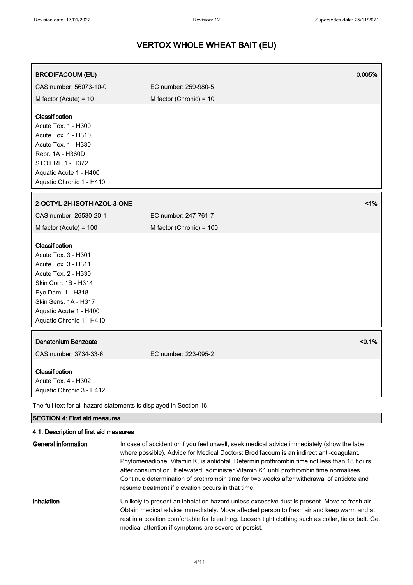| <b>BRODIFACOUM (EU)</b>                                                                                                                                                                                        |                          | 0.005% |
|----------------------------------------------------------------------------------------------------------------------------------------------------------------------------------------------------------------|--------------------------|--------|
| CAS number: 56073-10-0                                                                                                                                                                                         | EC number: 259-980-5     |        |
| M factor (Acute) = $10$                                                                                                                                                                                        | M factor (Chronic) = 10  |        |
| Classification<br>Acute Tox. 1 - H300<br>Acute Tox. 1 - H310<br>Acute Tox. 1 - H330<br>Repr. 1A - H360D<br><b>STOT RE 1 - H372</b><br>Aquatic Acute 1 - H400<br>Aquatic Chronic 1 - H410                       |                          |        |
| 2-OCTYL-2H-ISOTHIAZOL-3-ONE                                                                                                                                                                                    |                          | 1%     |
| CAS number: 26530-20-1                                                                                                                                                                                         | EC number: 247-761-7     |        |
| M factor (Acute) = $100$                                                                                                                                                                                       | M factor (Chronic) = 100 |        |
| Classification<br>Acute Tox. 3 - H301<br>Acute Tox. 3 - H311<br>Acute Tox. 2 - H330<br>Skin Corr. 1B - H314<br>Eye Dam. 1 - H318<br>Skin Sens. 1A - H317<br>Aquatic Acute 1 - H400<br>Aquatic Chronic 1 - H410 |                          |        |
| <b>Denatonium Benzoate</b><br>CAS number: 3734-33-6                                                                                                                                                            | EC number: 223-095-2     | < 0.1% |
| Classification<br>Acute Tox. 4 - H302<br>Aquatic Chronic 3 - H412                                                                                                                                              |                          |        |
| The full text for all hazard statements is displayed in Section 16.                                                                                                                                            |                          |        |
| <b>SECTION 4: First aid measures</b>                                                                                                                                                                           |                          |        |

## 4.1. Description of first aid measures

| General information | In case of accident or if you feel unwell, seek medical advice immediately (show the label<br>where possible). Advice for Medical Doctors: Brodifacoum is an indirect anti-coagulant.<br>Phytomenadione, Vitamin K, is antidotal. Determin prothrombin time not less than 18 hours<br>after consumption. If elevated, administer Vitamin K1 until prothrombin time normalises.<br>Continue determination of prothrombin time for two weeks after withdrawal of antidote and<br>resume treatment if elevation occurs in that time. |
|---------------------|-----------------------------------------------------------------------------------------------------------------------------------------------------------------------------------------------------------------------------------------------------------------------------------------------------------------------------------------------------------------------------------------------------------------------------------------------------------------------------------------------------------------------------------|
| <b>Inhalation</b>   | Unlikely to present an inhalation hazard unless excessive dust is present. Move to fresh air.<br>Obtain medical advice immediately. Move affected person to fresh air and keep warm and at<br>rest in a position comfortable for breathing. Loosen tight clothing such as collar, tie or belt. Get<br>medical attention if symptoms are severe or persist.                                                                                                                                                                        |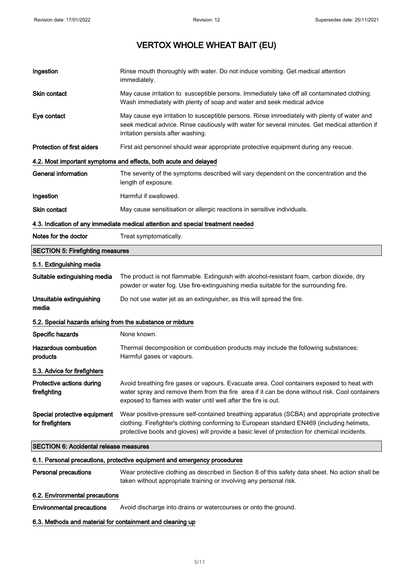| Ingestion                                                                       | Rinse mouth thoroughly with water. Do not induce vomiting. Get medical attention<br>immediately.                                                                                                                                                                                           |  |
|---------------------------------------------------------------------------------|--------------------------------------------------------------------------------------------------------------------------------------------------------------------------------------------------------------------------------------------------------------------------------------------|--|
| <b>Skin contact</b>                                                             | May cause irritation to susceptible persons. Immediately take off all contaminated clothing.<br>Wash immediately with plenty of soap and water and seek medical advice                                                                                                                     |  |
| Eye contact                                                                     | May cause eye irritation to susceptible persons. Rinse immediately with plenty of water and<br>seek medical advice. Rinse cautiously with water for several minutes. Get medical attention if<br>irritation persists after washing.                                                        |  |
| <b>Protection of first aiders</b>                                               | First aid personnel should wear appropriate protective equipment during any rescue.                                                                                                                                                                                                        |  |
|                                                                                 | 4.2. Most important symptoms and effects, both acute and delayed                                                                                                                                                                                                                           |  |
| <b>General information</b>                                                      | The severity of the symptoms described will vary dependent on the concentration and the<br>length of exposure.                                                                                                                                                                             |  |
| Ingestion                                                                       | Harmful if swallowed.                                                                                                                                                                                                                                                                      |  |
| <b>Skin contact</b>                                                             | May cause sensitisation or allergic reactions in sensitive individuals.                                                                                                                                                                                                                    |  |
| 4.3. Indication of any immediate medical attention and special treatment needed |                                                                                                                                                                                                                                                                                            |  |
| Notes for the doctor                                                            | Treat symptomatically.                                                                                                                                                                                                                                                                     |  |
| <b>SECTION 5: Firefighting measures</b>                                         |                                                                                                                                                                                                                                                                                            |  |
| 5.1. Extinguishing media                                                        |                                                                                                                                                                                                                                                                                            |  |
| Suitable extinguishing media                                                    | The product is not flammable. Extinguish with alcohol-resistant foam, carbon dioxide, dry<br>powder or water fog. Use fire-extinguishing media suitable for the surrounding fire.                                                                                                          |  |
| Unsuitable extinguishing<br>media                                               | Do not use water jet as an extinguisher, as this will spread the fire.                                                                                                                                                                                                                     |  |
| 5.2. Special hazards arising from the substance or mixture                      |                                                                                                                                                                                                                                                                                            |  |
| Specific hazards                                                                | None known.                                                                                                                                                                                                                                                                                |  |
| <b>Hazardous combustion</b><br>products                                         | Thermal decomposition or combustion products may include the following substances:<br>Harmful gases or vapours.                                                                                                                                                                            |  |
| 5.3. Advice for firefighters                                                    |                                                                                                                                                                                                                                                                                            |  |
| Protective actions during<br>firefighting                                       | Avoid breathing fire gases or vapours. Evacuate area. Cool containers exposed to heat with<br>water spray and remove them from the fire area if it can be done without risk. Cool containers<br>exposed to flames with water until well after the fire is out.                             |  |
| Special protective equipment<br>for firefighters                                | Wear positive-pressure self-contained breathing apparatus (SCBA) and appropriate protective<br>clothing. Firefighter's clothing conforming to European standard EN469 (including helmets,<br>protective boots and gloves) will provide a basic level of protection for chemical incidents. |  |
| <b>SECTION 6: Accidental release measures</b>                                   |                                                                                                                                                                                                                                                                                            |  |
|                                                                                 | 6.1. Personal precautions, protective equipment and emergency procedures                                                                                                                                                                                                                   |  |
| <b>Personal precautions</b>                                                     | Wear protective clothing as described in Section 8 of this safety data sheet. No action shall be<br>taken without appropriate training or involving any personal risk.                                                                                                                     |  |
|                                                                                 |                                                                                                                                                                                                                                                                                            |  |

## 6.2. Environmental precautions

Environmental precautions Avoid discharge into drains or watercourses or onto the ground.

## 6.3. Methods and material for containment and cleaning up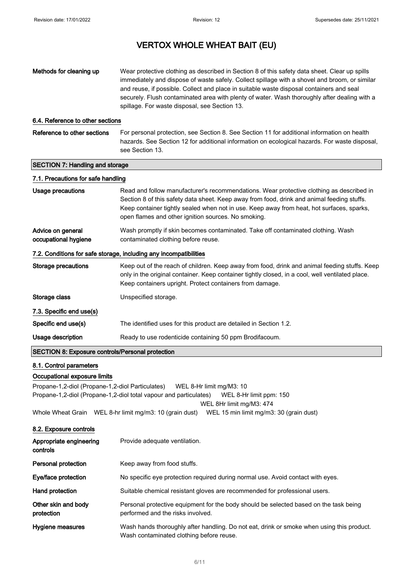| Methods for cleaning up                                 | Wear protective clothing as described in Section 8 of this safety data sheet. Clear up spills<br>immediately and dispose of waste safely. Collect spillage with a shovel and broom, or similar<br>and reuse, if possible. Collect and place in suitable waste disposal containers and seal<br>securely. Flush contaminated area with plenty of water. Wash thoroughly after dealing with a<br>spillage. For waste disposal, see Section 13. |
|---------------------------------------------------------|---------------------------------------------------------------------------------------------------------------------------------------------------------------------------------------------------------------------------------------------------------------------------------------------------------------------------------------------------------------------------------------------------------------------------------------------|
| 6.4. Reference to other sections                        |                                                                                                                                                                                                                                                                                                                                                                                                                                             |
| Reference to other sections                             | For personal protection, see Section 8. See Section 11 for additional information on health<br>hazards. See Section 12 for additional information on ecological hazards. For waste disposal,<br>see Section 13.                                                                                                                                                                                                                             |
| <b>SECTION 7: Handling and storage</b>                  |                                                                                                                                                                                                                                                                                                                                                                                                                                             |
| 7.1. Precautions for safe handling                      |                                                                                                                                                                                                                                                                                                                                                                                                                                             |
| <b>Usage precautions</b>                                | Read and follow manufacturer's recommendations. Wear protective clothing as described in<br>Section 8 of this safety data sheet. Keep away from food, drink and animal feeding stuffs.<br>Keep container tightly sealed when not in use. Keep away from heat, hot surfaces, sparks,<br>open flames and other ignition sources. No smoking.                                                                                                  |
| Advice on general<br>occupational hygiene               | Wash promptly if skin becomes contaminated. Take off contaminated clothing. Wash<br>contaminated clothing before reuse.                                                                                                                                                                                                                                                                                                                     |
|                                                         | 7.2. Conditions for safe storage, including any incompatibilities                                                                                                                                                                                                                                                                                                                                                                           |
| <b>Storage precautions</b>                              | Keep out of the reach of children. Keep away from food, drink and animal feeding stuffs. Keep<br>only in the original container. Keep container tightly closed, in a cool, well ventilated place.<br>Keep containers upright. Protect containers from damage.                                                                                                                                                                               |
| Storage class                                           | Unspecified storage.                                                                                                                                                                                                                                                                                                                                                                                                                        |
| 7.3. Specific end use(s)                                |                                                                                                                                                                                                                                                                                                                                                                                                                                             |
| Specific end use(s)                                     | The identified uses for this product are detailed in Section 1.2.                                                                                                                                                                                                                                                                                                                                                                           |
| Usage description                                       | Ready to use rodenticide containing 50 ppm Brodifacoum.                                                                                                                                                                                                                                                                                                                                                                                     |
| <b>SECTION 8: Exposure controls/Personal protection</b> |                                                                                                                                                                                                                                                                                                                                                                                                                                             |
| 8.1. Control parameters<br>Occupational exposure limits |                                                                                                                                                                                                                                                                                                                                                                                                                                             |

Propane-1,2-diol (Propane-1,2-diol Particulates) WEL 8-Hr limit mg/M3: 10 Propane-1,2-diol (Propane-1,2-diol total vapour and particulates) WEL 8-Hr limit ppm: 150 WEL 8Hr limit mg/M3: 474

Whole Wheat Grain WEL 8-hr limit mg/m3: 10 (grain dust) WEL 15 min limit mg/m3: 30 (grain dust)

## 8.2. Exposure controls

| Appropriate engineering<br>controls | Provide adequate ventilation.                                                                                                         |
|-------------------------------------|---------------------------------------------------------------------------------------------------------------------------------------|
| Personal protection                 | Keep away from food stuffs.                                                                                                           |
| Eye/face protection                 | No specific eye protection required during normal use. Avoid contact with eyes.                                                       |
| Hand protection                     | Suitable chemical resistant gloves are recommended for professional users.                                                            |
| Other skin and body<br>protection   | Personal protective equipment for the body should be selected based on the task being<br>performed and the risks involved.            |
| Hygiene measures                    | Wash hands thoroughly after handling. Do not eat, drink or smoke when using this product.<br>Wash contaminated clothing before reuse. |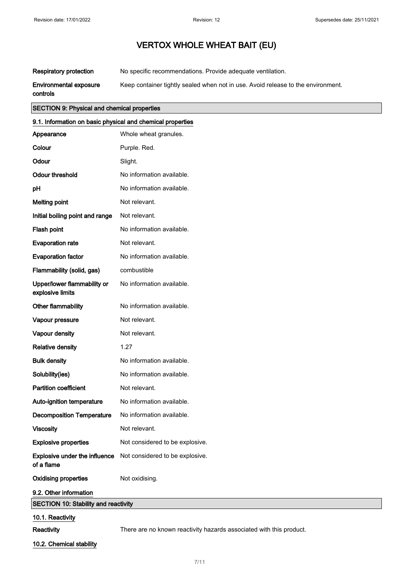Respiratory protection No specific recommendations. Provide adequate ventilation.

Environmental exposure Keep container tightly sealed when not in use. Avoid release to the environment.

controls

## SECTION 9: Physical and chemical properties

| 9.1. Information on basic physical and chemical properties |                                 |  |
|------------------------------------------------------------|---------------------------------|--|
| Appearance                                                 | Whole wheat granules.           |  |
| Colour                                                     | Purple. Red.                    |  |
| Odour                                                      | Slight.                         |  |
| <b>Odour threshold</b>                                     | No information available.       |  |
| рH                                                         | No information available.       |  |
| <b>Melting point</b>                                       | Not relevant.                   |  |
| Initial boiling point and range                            | Not relevant.                   |  |
| Flash point                                                | No information available.       |  |
| <b>Evaporation rate</b>                                    | Not relevant.                   |  |
| <b>Evaporation factor</b>                                  | No information available.       |  |
| Flammability (solid, gas)                                  | combustible                     |  |
| Upper/lower flammability or<br>explosive limits            | No information available.       |  |
| Other flammability                                         | No information available.       |  |
| Vapour pressure                                            | Not relevant.                   |  |
| Vapour density                                             | Not relevant.                   |  |
| <b>Relative density</b>                                    | 1.27                            |  |
| <b>Bulk density</b>                                        | No information available.       |  |
| Solubility(ies)                                            | No information available.       |  |
| <b>Partition coefficient</b>                               | Not relevant.                   |  |
| Auto-ignition temperature                                  | No information available.       |  |
| <b>Decomposition Temperature</b>                           | No information available.       |  |
| <b>Viscosity</b>                                           | Not relevant.                   |  |
| <b>Explosive properties</b>                                | Not considered to be explosive. |  |
| Explosive under the influence<br>of a flame                | Not considered to be explosive. |  |
| <b>Oxidising properties</b>                                | Not oxidising.                  |  |
| 9.2. Other information                                     |                                 |  |
| <b>SECTION 10: Stability and reactivity</b>                |                                 |  |
| 10.1. Reactivity                                           |                                 |  |

Reactivity **There are no known reactivity hazards associated with this product.** 

10.2. Chemical stability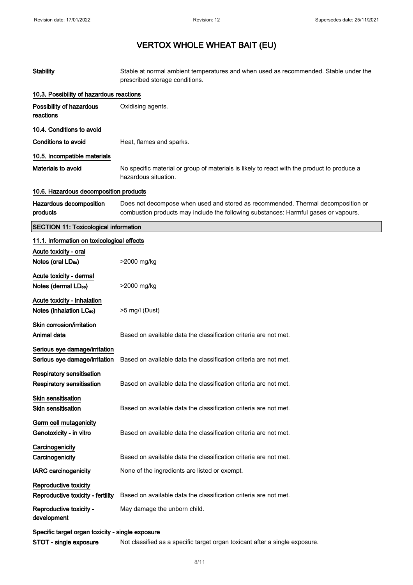| <b>Stability</b>                                                     | Stable at normal ambient temperatures and when used as recommended. Stable under the<br>prescribed storage conditions.                                                  |  |
|----------------------------------------------------------------------|-------------------------------------------------------------------------------------------------------------------------------------------------------------------------|--|
| 10.3. Possibility of hazardous reactions                             |                                                                                                                                                                         |  |
| Possibility of hazardous<br>reactions                                | Oxidising agents.                                                                                                                                                       |  |
| 10.4. Conditions to avoid                                            |                                                                                                                                                                         |  |
| <b>Conditions to avoid</b>                                           | Heat, flames and sparks.                                                                                                                                                |  |
| 10.5. Incompatible materials                                         |                                                                                                                                                                         |  |
| <b>Materials to avoid</b>                                            | No specific material or group of materials is likely to react with the product to produce a<br>hazardous situation.                                                     |  |
| 10.6. Hazardous decomposition products                               |                                                                                                                                                                         |  |
| Hazardous decomposition<br>products                                  | Does not decompose when used and stored as recommended. Thermal decomposition or<br>combustion products may include the following substances: Harmful gases or vapours. |  |
| <b>SECTION 11: Toxicological information</b>                         |                                                                                                                                                                         |  |
| 11.1. Information on toxicological effects                           |                                                                                                                                                                         |  |
| Acute toxicity - oral<br>Notes (oral LD <sub>50</sub> )              | >2000 mg/kg                                                                                                                                                             |  |
| Acute toxicity - dermal<br>Notes (dermal LD <sub>50</sub> )          | >2000 mg/kg                                                                                                                                                             |  |
| Acute toxicity - inhalation<br>Notes (inhalation LC <sub>50</sub> )  | >5 mg/l (Dust)                                                                                                                                                          |  |
| Skin corrosion/irritation<br>Animal data                             | Based on available data the classification criteria are not met.                                                                                                        |  |
| Serious eye damage/irritation<br>Serious eye damage/irritation       | Based on available data the classification criteria are not met.                                                                                                        |  |
| <b>Respiratory sensitisation</b><br><b>Respiratory sensitisation</b> | Based on available data the classification criteria are not met.                                                                                                        |  |
| Skin sensitisation<br><b>Skin sensitisation</b>                      | Based on available data the classification criteria are not met.                                                                                                        |  |
| Germ cell mutagenicity<br>Genotoxicity - in vitro                    | Based on available data the classification criteria are not met.                                                                                                        |  |
| Carcinogenicity<br>Carcinogenicity                                   | Based on available data the classification criteria are not met.                                                                                                        |  |
| <b>IARC carcinogenicity</b>                                          | None of the ingredients are listed or exempt.                                                                                                                           |  |
| Reproductive toxicity<br>Reproductive toxicity - fertility           | Based on available data the classification criteria are not met.                                                                                                        |  |
| Reproductive toxicity -<br>development                               | May damage the unborn child.                                                                                                                                            |  |
|                                                                      | Specific target organ toxicity - single exposure                                                                                                                        |  |
| STOT - single exposure                                               | Not classified as a specific target organ toxicant after a single exposure.                                                                                             |  |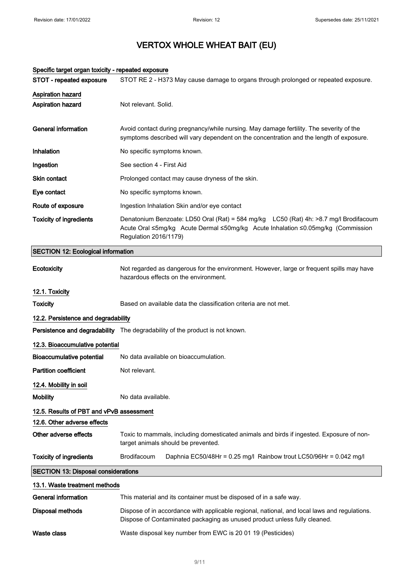| Specific target organ toxicity - repeated exposure |                                                                                                                                                                                                    |  |
|----------------------------------------------------|----------------------------------------------------------------------------------------------------------------------------------------------------------------------------------------------------|--|
| STOT - repeated exposure                           | STOT RE 2 - H373 May cause damage to organs through prolonged or repeated exposure.                                                                                                                |  |
| Aspiration hazard<br><b>Aspiration hazard</b>      | Not relevant. Solid.                                                                                                                                                                               |  |
| <b>General information</b>                         | Avoid contact during pregnancy/while nursing. May damage fertility. The severity of the<br>symptoms described will vary dependent on the concentration and the length of exposure.                 |  |
| Inhalation                                         | No specific symptoms known.                                                                                                                                                                        |  |
| Ingestion                                          | See section 4 - First Aid                                                                                                                                                                          |  |
| Skin contact                                       | Prolonged contact may cause dryness of the skin.                                                                                                                                                   |  |
| Eye contact                                        | No specific symptoms known.                                                                                                                                                                        |  |
| Route of exposure                                  | Ingestion Inhalation Skin and/or eye contact                                                                                                                                                       |  |
| <b>Toxicity of ingredients</b>                     | Denatonium Benzoate: LD50 Oral (Rat) = 584 mg/kg LC50 (Rat) 4h: >8.7 mg/l Brodifacoum<br>Acute Oral ≤5mg/kg Acute Dermal ≤50mg/kg Acute Inhalation ≤0.05mg/kg (Commission<br>Regulation 2016/1179) |  |
| <b>SECTION 12: Ecological information</b>          |                                                                                                                                                                                                    |  |
| Ecotoxicity                                        | Not regarded as dangerous for the environment. However, large or frequent spills may have<br>hazardous effects on the environment.                                                                 |  |
| 12.1. Toxicity                                     |                                                                                                                                                                                                    |  |
| <b>Toxicity</b>                                    | Based on available data the classification criteria are not met.                                                                                                                                   |  |
| 12.2. Persistence and degradability                |                                                                                                                                                                                                    |  |
|                                                    | Persistence and degradability The degradability of the product is not known.                                                                                                                       |  |
| 12.3. Bioaccumulative potential                    |                                                                                                                                                                                                    |  |
| <b>Bioaccumulative potential</b>                   | No data available on bioaccumulation.                                                                                                                                                              |  |
| <b>Partition coefficient</b>                       | Not relevant.                                                                                                                                                                                      |  |
| 12.4. Mobility in soil                             |                                                                                                                                                                                                    |  |
| <b>Mobility</b>                                    | No data available.                                                                                                                                                                                 |  |
| 12.5. Results of PBT and vPvB assessment           |                                                                                                                                                                                                    |  |
| 12.6. Other adverse effects                        |                                                                                                                                                                                                    |  |
| Other adverse effects                              | Toxic to mammals, including domesticated animals and birds if ingested. Exposure of non-<br>target animals should be prevented.                                                                    |  |
| <b>Toxicity of ingredients</b>                     | Brodifacoum<br>Daphnia EC50/48Hr = 0.25 mg/l Rainbow trout LC50/96Hr = 0.042 mg/l                                                                                                                  |  |
| <b>SECTION 13: Disposal considerations</b>         |                                                                                                                                                                                                    |  |
| 13.1. Waste treatment methods                      |                                                                                                                                                                                                    |  |
| General information                                | This material and its container must be disposed of in a safe way.                                                                                                                                 |  |
| <b>Disposal methods</b>                            | Dispose of in accordance with applicable regional, national, and local laws and regulations.<br>Dispose of Contaminated packaging as unused product unless fully cleaned.                          |  |
| <b>Waste class</b>                                 | Waste disposal key number from EWC is 20 01 19 (Pesticides)                                                                                                                                        |  |

#### 9/ 11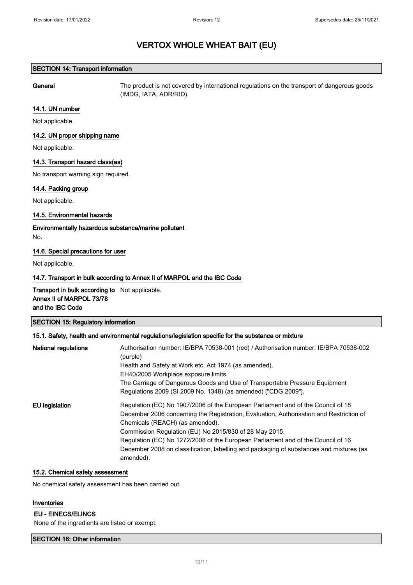## SECTION 14: Transport information

General The product is not covered by international regulations on the transport of dangerous goods (IMDG, IATA, ADR/RID).

### 14.1. UN number

Not applicable.

## 14.2. UN proper shipping name

Not applicable.

### 14.3. Transport hazard class(es)

No transport warning sign required.

### 14.4. Packing group

Not applicable.

## 14.5. Environmental hazards

Environmentally hazardous substance/marine pollutant No.

### 14.6. Special precautions for user

Not applicable.

## 14.7. Transport in bulk according to Annex II of MARPOL and the IBC Code

Transport in bulk according to Not applicable. Annex II of MARPOL 73/78 and the IBC Code

| <b>SECTION 15: Regulatory information</b> |  |
|-------------------------------------------|--|
|                                           |  |

| <b>National regulations</b> | Authorisation number: IE/BPA 70538-001 (red) / Authorisation number: IE/BPA 70538-002<br>(purple)<br>Health and Safety at Work etc. Act 1974 (as amended).<br>EH40/2005 Workplace exposure limits.<br>The Carriage of Dangerous Goods and Use of Transportable Pressure Equipment<br>Regulations 2009 (SI 2009 No. 1348) (as amended) ["CDG 2009"].                                                                                                                  |
|-----------------------------|----------------------------------------------------------------------------------------------------------------------------------------------------------------------------------------------------------------------------------------------------------------------------------------------------------------------------------------------------------------------------------------------------------------------------------------------------------------------|
| EU legislation              | Regulation (EC) No 1907/2006 of the European Parliament and of the Council of 18<br>December 2006 concerning the Registration, Evaluation, Authorisation and Restriction of<br>Chemicals (REACH) (as amended).<br>Commission Regulation (EU) No 2015/830 of 28 May 2015.<br>Regulation (EC) No 1272/2008 of the European Parliament and of the Council of 16<br>December 2008 on classification, labelling and packaging of substances and mixtures (as<br>amended). |

## 15.2. Chemical safety assessment

No chemical safety assessment has been carried out.

### Inventories

## EU - EINECS/ELINCS

None of the ingredients are listed or exempt.

## SECTION 16: Other information